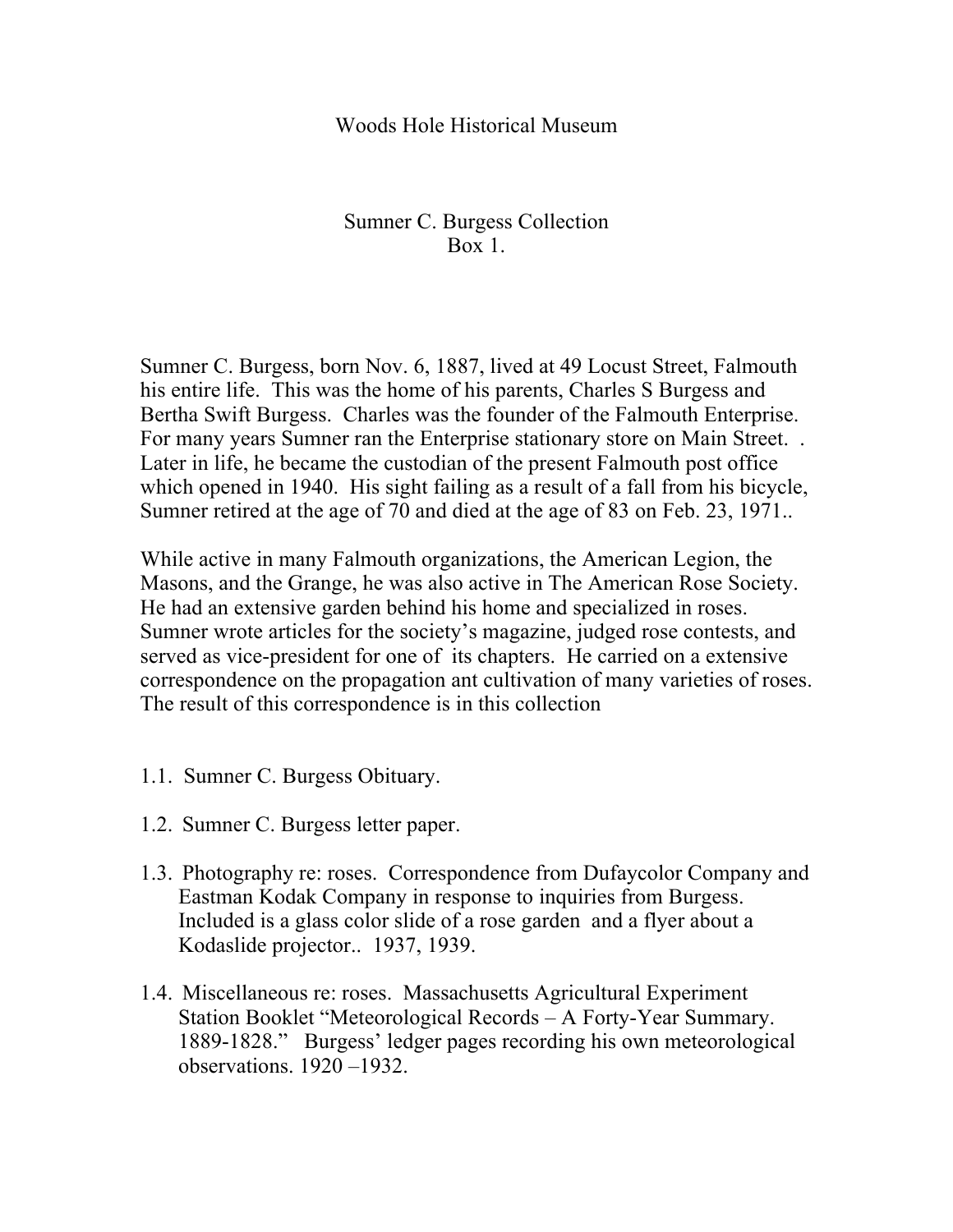## Woods Hole Historical Museum

## Sumner C. Burgess Collection Box 1.

Sumner C. Burgess, born Nov. 6, 1887, lived at 49 Locust Street, Falmouth his entire life. This was the home of his parents, Charles S Burgess and Bertha Swift Burgess. Charles was the founder of the Falmouth Enterprise. For many years Sumner ran the Enterprise stationary store on Main Street. . Later in life, he became the custodian of the present Falmouth post office which opened in 1940. His sight failing as a result of a fall from his bicycle, Sumner retired at the age of 70 and died at the age of 83 on Feb. 23, 1971..

While active in many Falmouth organizations, the American Legion, the Masons, and the Grange, he was also active in The American Rose Society. He had an extensive garden behind his home and specialized in roses. Sumner wrote articles for the society's magazine, judged rose contests, and served as vice-president for one of its chapters. He carried on a extensive correspondence on the propagation ant cultivation of many varieties of roses. The result of this correspondence is in this collection

- 1.1. Sumner C. Burgess Obituary.
- 1.2. Sumner C. Burgess letter paper.
- 1.3. Photography re: roses. Correspondence from Dufaycolor Company and Eastman Kodak Company in response to inquiries from Burgess. Included is a glass color slide of a rose garden and a flyer about a Kodaslide projector.. 1937, 1939.
- 1.4. Miscellaneous re: roses. Massachusetts Agricultural Experiment Station Booklet "Meteorological Records – A Forty-Year Summary. 1889-1828." Burgess' ledger pages recording his own meteorological observations. 1920 –1932.